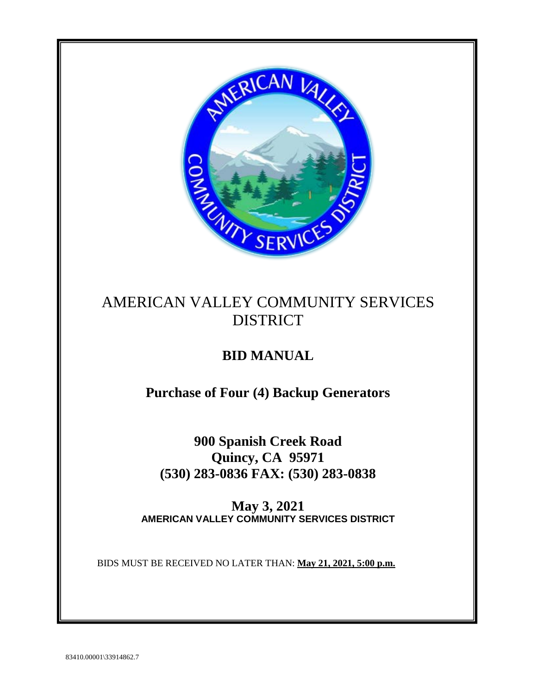

# AMERICAN VALLEY COMMUNITY SERVICES DISTRICT

# **BID MANUAL**

**Purchase of Four (4) Backup Generators**

**900 Spanish Creek Road Quincy, CA 95971 (530) 283-0836 FAX: (530) 283-0838**

**May 3, 2021 AMERICAN VALLEY COMMUNITY SERVICES DISTRICT**

BIDS MUST BE RECEIVED NO LATER THAN: **May 21, 2021, 5:00 p.m.**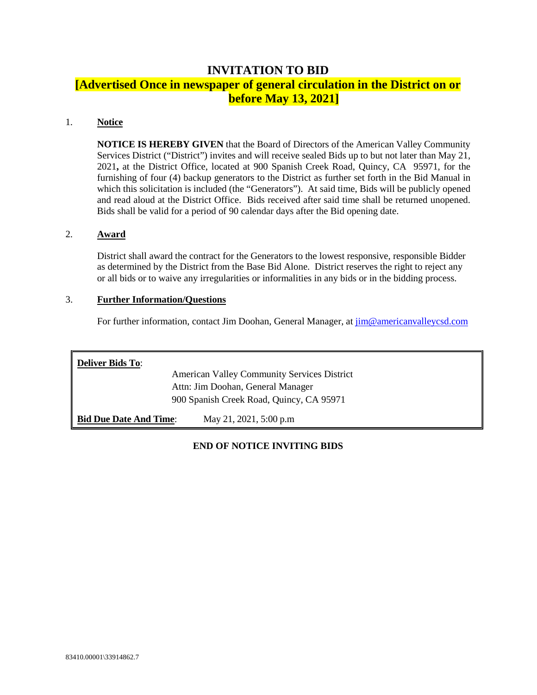## **INVITATION TO BID**

# **[Advertised Once in newspaper of general circulation in the District on or before May 13, 2021]**

#### 1. **Notice**

**NOTICE IS HEREBY GIVEN** that the Board of Directors of the American Valley Community Services District ("District") invites and will receive sealed Bids up to but not later than May 21, 2021**,** at the District Office, located at 900 Spanish Creek Road, Quincy, CA 95971, for the furnishing of four (4) backup generators to the District as further set forth in the Bid Manual in which this solicitation is included (the "Generators"). At said time, Bids will be publicly opened and read aloud at the District Office. Bids received after said time shall be returned unopened. Bids shall be valid for a period of 90 calendar days after the Bid opening date.

#### 2. **Award**

District shall award the contract for the Generators to the lowest responsive, responsible Bidder as determined by the District from the Base Bid Alone. District reserves the right to reject any or all bids or to waive any irregularities or informalities in any bids or in the bidding process.

#### 3. **Further Information/Questions**

For further information, contact Jim Doohan, General Manager, at [jim@americanvalleycsd.com](mailto:jim@americanvalleycsd.com)

| <b>Deliver Bids To:</b>                  |                                                    |  |  |  |
|------------------------------------------|----------------------------------------------------|--|--|--|
|                                          | <b>American Valley Community Services District</b> |  |  |  |
| Attn: Jim Doohan, General Manager        |                                                    |  |  |  |
| 900 Spanish Creek Road, Quincy, CA 95971 |                                                    |  |  |  |
| <b>Bid Due Date And Time:</b>            | May 21, 2021, 5:00 p.m.                            |  |  |  |

### **END OF NOTICE INVITING BIDS**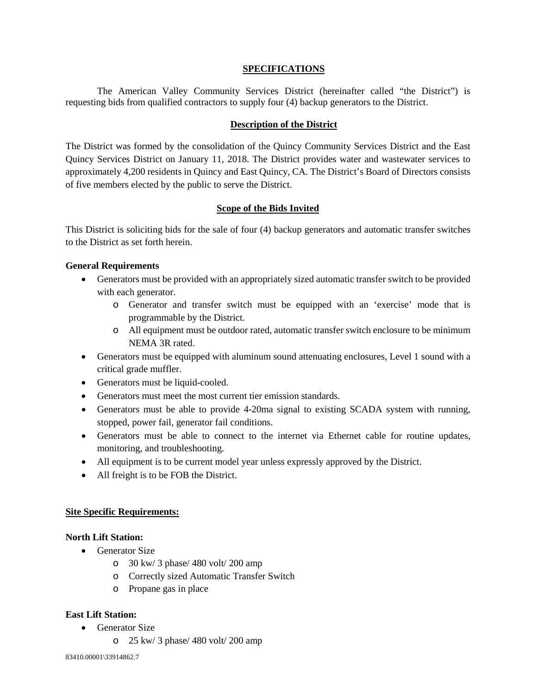#### **SPECIFICATIONS**

The American Valley Community Services District (hereinafter called "the District") is requesting bids from qualified contractors to supply four (4) backup generators to the District.

#### **Description of the District**

The District was formed by the consolidation of the Quincy Community Services District and the East Quincy Services District on January 11, 2018. The District provides water and wastewater services to approximately 4,200 residents in Quincy and East Quincy, CA. The District's Board of Directors consists of five members elected by the public to serve the District.

#### **Scope of the Bids Invited**

This District is soliciting bids for the sale of four (4) backup generators and automatic transfer switches to the District as set forth herein.

#### **General Requirements**

- Generators must be provided with an appropriately sized automatic transfer switch to be provided with each generator.
	- o Generator and transfer switch must be equipped with an 'exercise' mode that is programmable by the District.
	- o All equipment must be outdoor rated, automatic transfer switch enclosure to be minimum NEMA 3R rated.
- Generators must be equipped with aluminum sound attenuating enclosures, Level 1 sound with a critical grade muffler.
- Generators must be liquid-cooled.
- Generators must meet the most current tier emission standards.
- Generators must be able to provide 4-20ma signal to existing SCADA system with running, stopped, power fail, generator fail conditions.
- Generators must be able to connect to the internet via Ethernet cable for routine updates, monitoring, and troubleshooting.
- All equipment is to be current model year unless expressly approved by the District.
- All freight is to be FOB the District.

#### **Site Specific Requirements:**

#### **North Lift Station:**

- Generator Size
	- o 30 kw/ 3 phase/ 480 volt/ 200 amp
	- o Correctly sized Automatic Transfer Switch
	- o Propane gas in place

#### **East Lift Station:**

- Generator Size
	- o 25 kw/ 3 phase/ 480 volt/ 200 amp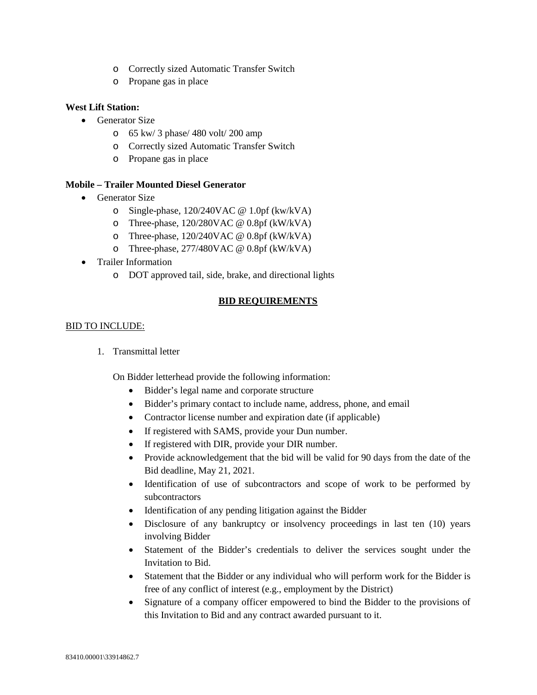- o Correctly sized Automatic Transfer Switch
- o Propane gas in place

#### **West Lift Station:**

- Generator Size
	- o 65 kw/ 3 phase/ 480 volt/ 200 amp
	- o Correctly sized Automatic Transfer Switch
	- o Propane gas in place

#### **Mobile – Trailer Mounted Diesel Generator**

- Generator Size
	- o Single-phase, 120/240VAC @ 1.0pf (kw/kVA)
	- o Three-phase, 120/280VAC @ 0.8pf (kW/kVA)
	- o Three-phase, 120/240VAC @ 0.8pf (kW/kVA)
	- o Three-phase, 277/480VAC @ 0.8pf (kW/kVA)
- Trailer Information
	- o DOT approved tail, side, brake, and directional lights

### **BID REQUIREMENTS**

### BID TO INCLUDE:

1. Transmittal letter

On Bidder letterhead provide the following information:

- Bidder's legal name and corporate structure
- Bidder's primary contact to include name, address, phone, and email
- Contractor license number and expiration date (if applicable)
- If registered with SAMS, provide your Dun number.
- If registered with DIR, provide your DIR number.
- Provide acknowledgement that the bid will be valid for 90 days from the date of the Bid deadline, May 21, 2021.
- Identification of use of subcontractors and scope of work to be performed by subcontractors
- Identification of any pending litigation against the Bidder
- Disclosure of any bankruptcy or insolvency proceedings in last ten (10) years involving Bidder
- Statement of the Bidder's credentials to deliver the services sought under the Invitation to Bid.
- Statement that the Bidder or any individual who will perform work for the Bidder is free of any conflict of interest (e.g., employment by the District)
- Signature of a company officer empowered to bind the Bidder to the provisions of this Invitation to Bid and any contract awarded pursuant to it.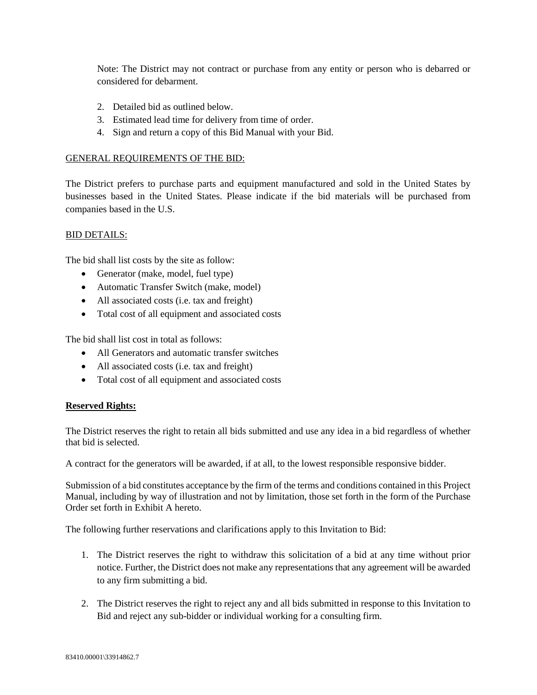Note: The District may not contract or purchase from any entity or person who is debarred or considered for debarment.

- 2. Detailed bid as outlined below.
- 3. Estimated lead time for delivery from time of order.
- 4. Sign and return a copy of this Bid Manual with your Bid.

#### GENERAL REQUIREMENTS OF THE BID:

The District prefers to purchase parts and equipment manufactured and sold in the United States by businesses based in the United States. Please indicate if the bid materials will be purchased from companies based in the U.S.

### BID DETAILS:

The bid shall list costs by the site as follow:

- Generator (make, model, fuel type)
- Automatic Transfer Switch (make, model)
- All associated costs (i.e. tax and freight)
- Total cost of all equipment and associated costs

The bid shall list cost in total as follows:

- All Generators and automatic transfer switches
- All associated costs (i.e. tax and freight)
- Total cost of all equipment and associated costs

#### **Reserved Rights:**

The District reserves the right to retain all bids submitted and use any idea in a bid regardless of whether that bid is selected.

A contract for the generators will be awarded, if at all, to the lowest responsible responsive bidder.

Submission of a bid constitutes acceptance by the firm of the terms and conditions contained in this Project Manual, including by way of illustration and not by limitation, those set forth in the form of the Purchase Order set forth in Exhibit A hereto.

The following further reservations and clarifications apply to this Invitation to Bid:

- 1. The District reserves the right to withdraw this solicitation of a bid at any time without prior notice. Further, the District does not make any representations that any agreement will be awarded to any firm submitting a bid.
- 2. The District reserves the right to reject any and all bids submitted in response to this Invitation to Bid and reject any sub-bidder or individual working for a consulting firm.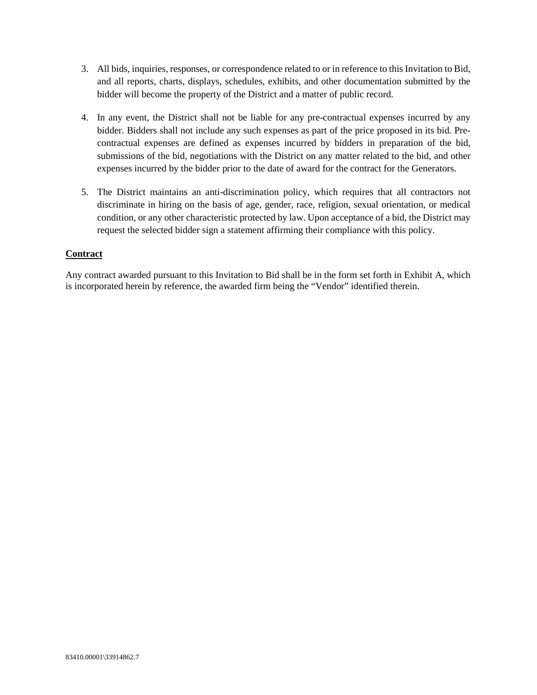- 3. All bids, inquiries, responses, or correspondence related to or in reference to this Invitation to Bid, and all reports, charts, displays, schedules, exhibits, and other documentation submitted by the bidder will become the property of the District and a matter of public record.
- 4. In any event, the District shall not be liable for any pre-contractual expenses incurred by any bidder. Bidders shall not include any such expenses as part of the price proposed in its bid. Precontractual expenses are defined as expenses incurred by bidders in preparation of the bid, submissions of the bid, negotiations with the District on any matter related to the bid, and other expenses incurred by the bidder prior to the date of award for the contract for the Generators.
- 5. The District maintains an anti-discrimination policy, which requires that all contractors not discriminate in hiring on the basis of age, gender, race, religion, sexual orientation, or medical condition, or any other characteristic protected by law. Upon acceptance of a bid, the District may request the selected bidder sign a statement affirming their compliance with this policy.

### **Contract**

Any contract awarded pursuant to this Invitation to Bid shall be in the form set forth in Exhibit A, which is incorporated herein by reference, the awarded firm being the "Vendor" identified therein.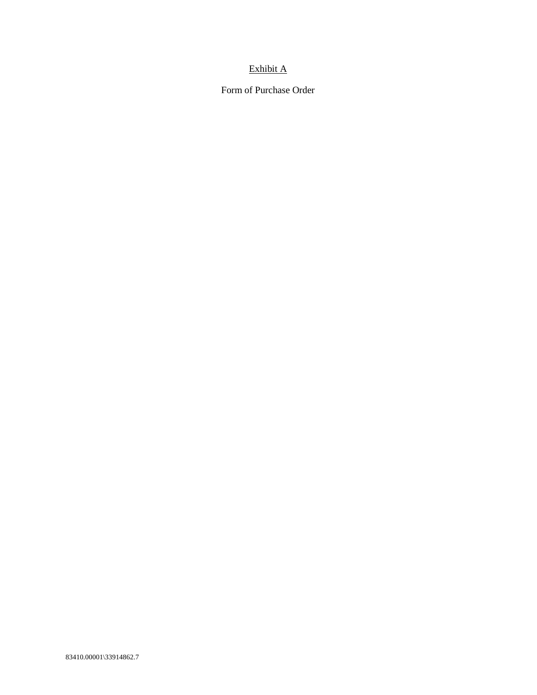## Exhibit A

Form of Purchase Order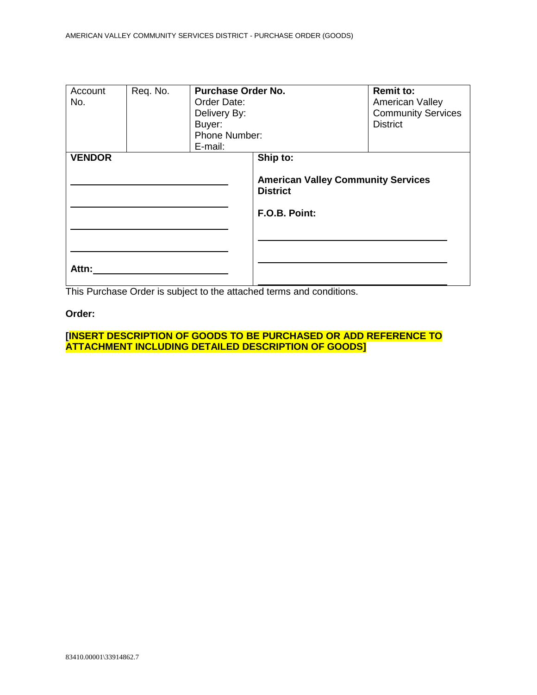| Account<br>No.         | Req. No. | <b>Purchase Order No.</b><br>Order Date:<br>Delivery By:<br>Buyer:<br>Phone Number:<br>E-mail: |                                                                                           | <b>Remit to:</b><br>American Valley<br><b>Community Services</b><br><b>District</b> |
|------------------------|----------|------------------------------------------------------------------------------------------------|-------------------------------------------------------------------------------------------|-------------------------------------------------------------------------------------|
| <b>VENDOR</b><br>Attn: |          |                                                                                                | Ship to:<br><b>American Valley Community Services</b><br><b>District</b><br>F.O.B. Point: |                                                                                     |

This Purchase Order is subject to the attached terms and conditions.

### **Order:**

**[INSERT DESCRIPTION OF GOODS TO BE PURCHASED OR ADD REFERENCE TO ATTACHMENT INCLUDING DETAILED DESCRIPTION OF GOODS]**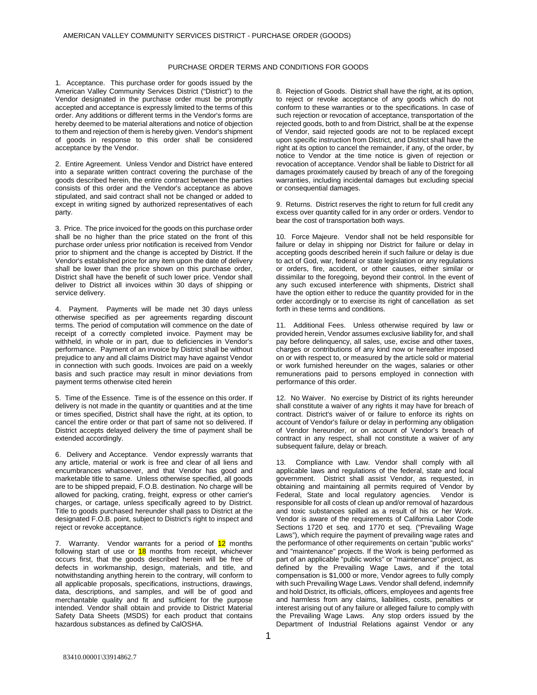#### PURCHASE ORDER TERMS AND CONDITIONS FOR GOODS

1. Acceptance. This purchase order for goods issued by the American Valley Community Services District ("District") to the Vendor designated in the purchase order must be promptly accepted and acceptance is expressly limited to the terms of this order. Any additions or different terms in the Vendor's forms are hereby deemed to be material alterations and notice of objection to them and rejection of them is hereby given. Vendor's shipment of goods in response to this order shall be considered acceptance by the Vendor.

2. Entire Agreement. Unless Vendor and District have entered into a separate written contract covering the purchase of the goods described herein, the entire contract between the parties consists of this order and the Vendor's acceptance as above stipulated, and said contract shall not be changed or added to except in writing signed by authorized representatives of each party.

3. Price. The price invoiced for the goods on this purchase order shall be no higher than the price stated on the front of this purchase order unless prior notification is received from Vendor prior to shipment and the change is accepted by District. If the Vendor's established price for any item upon the date of delivery shall be lower than the price shown on this purchase order, District shall have the benefit of such lower price. Vendor shall deliver to District all invoices within 30 days of shipping or service delivery.

4. Payment. Payments will be made net 30 days unless otherwise specified as per agreements regarding discount terms. The period of computation will commence on the date of receipt of a correctly completed invoice. Payment may be withheld, in whole or in part, due to deficiencies in Vendor's performance. Payment of an invoice by District shall be without prejudice to any and all claims District may have against Vendor in connection with such goods. Invoices are paid on a weekly basis and such practice may result in minor deviations from payment terms otherwise cited herein

5. Time of the Essence. Time is of the essence on this order. If delivery is not made in the quantity or quantities and at the time or times specified, District shall have the right, at its option, to cancel the entire order or that part of same not so delivered. If District accepts delayed delivery the time of payment shall be extended accordingly.

6. Delivery and Acceptance. Vendor expressly warrants that any article, material or work is free and clear of all liens and encumbrances whatsoever, and that Vendor has good and marketable title to same. Unless otherwise specified, all goods are to be shipped prepaid, F.O.B. destination. No charge will be allowed for packing, crating, freight, express or other carrier's charges, or cartage, unless specifically agreed to by District. Title to goods purchased hereunder shall pass to District at the designated F.O.B. point, subject to District's right to inspect and reject or revoke acceptance.

7. Warranty. Vendor warrants for a period of 12 months following start of use or **18** months from receipt, whichever occurs first, that the goods described herein will be free of defects in workmanship, design, materials, and title, and notwithstanding anything herein to the contrary, will conform to all applicable proposals, specifications, instructions, drawings, data, descriptions, and samples, and will be of good and merchantable quality and fit and sufficient for the purpose intended. Vendor shall obtain and provide to District Material Safety Data Sheets (MSDS) for each product that contains hazardous substances as defined by CalOSHA.

8. Rejection of Goods. District shall have the right, at its option, to reject or revoke acceptance of any goods which do not conform to these warranties or to the specifications. In case of such rejection or revocation of acceptance, transportation of the rejected goods, both to and from District, shall be at the expense of Vendor, said rejected goods are not to be replaced except upon specific instruction from District, and District shall have the right at its option to cancel the remainder, if any, of the order, by notice to Vendor at the time notice is given of rejection or revocation of acceptance. Vendor shall be liable to District for all damages proximately caused by breach of any of the foregoing warranties, including incidental damages but excluding special or consequential damages.

9. Returns. District reserves the right to return for full credit any excess over quantity called for in any order or orders. Vendor to bear the cost of transportation both ways.

10. Force Majeure. Vendor shall not be held responsible for failure or delay in shipping nor District for failure or delay in accepting goods described herein if such failure or delay is due to act of God, war, federal or state legislation or any regulations or orders, fire, accident, or other causes, either similar or dissimilar to the foregoing, beyond their control. In the event of any such excused interference with shipments, District shall have the option either to reduce the quantity provided for in the order accordingly or to exercise its right of cancellation as set forth in these terms and conditions.

11. Additional Fees. Unless otherwise required by law or provided herein, Vendor assumes exclusive liability for, and shall pay before delinquency, all sales, use, excise and other taxes, charges or contributions of any kind now or hereafter imposed on or with respect to, or measured by the article sold or material or work furnished hereunder on the wages, salaries or other remunerations paid to persons employed in connection with performance of this order.

12. No Waiver. No exercise by District of its rights hereunder shall constitute a waiver of any rights it may have for breach of contract. District's waiver of or failure to enforce its rights on account of Vendor's failure or delay in performing any obligation of Vendor hereunder, or on account of Vendor's breach of contract in any respect, shall not constitute a waiver of any subsequent failure, delay or breach.

Compliance with Law. Vendor shall comply with all applicable laws and regulations of the federal, state and local government. District shall assist Vendor, as requested, in obtaining and maintaining all permits required of Vendor by Federal, State and local regulatory agencies. Vendor is responsible for all costs of clean up and/or removal of hazardous and toxic substances spilled as a result of his or her Work. Vendor is aware of the requirements of California Labor Code Sections 1720 et seq. and 1770 et seq. ("Prevailing Wage Laws"), which require the payment of prevailing wage rates and the performance of other requirements on certain "public works" and "maintenance" projects. If the Work is being performed as part of an applicable "public works" or "maintenance" project, as defined by the Prevailing Wage Laws, and if the total compensation is \$1,000 or more, Vendor agrees to fully comply with such Prevailing Wage Laws. Vendor shall defend, indemnify and hold District, its officials, officers, employees and agents free and harmless from any claims, liabilities, costs, penalties or interest arising out of any failure or alleged failure to comply with the Prevailing Wage Laws. Any stop orders issued by the Department of Industrial Relations against Vendor or any